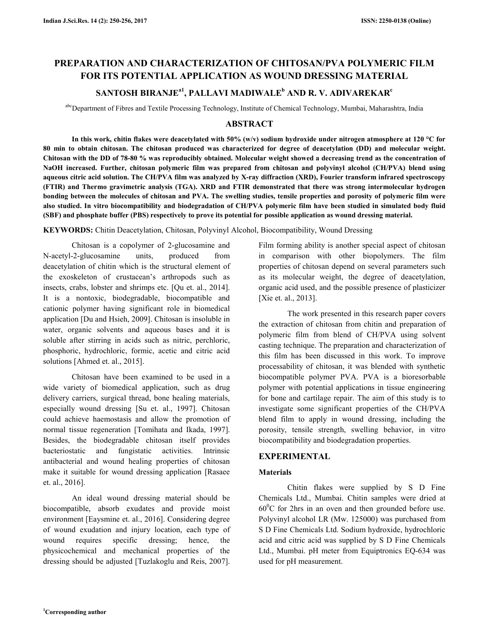# **PREPARATION AND CHARACTERIZATION OF CHITOSAN/PVA POLYMERIC FILM FOR ITS POTENTIAL APPLICATION AS WOUND DRESSING MATERIAL**

## **SANTOSH BIRANJEa1, PALLAVI MADIWALE<sup>b</sup> AND R. V. ADIVAREKAR<sup>c</sup>**

abcDepartment of Fibres and Textile Processing Technology, Institute of Chemical Technology, Mumbai, Maharashtra, India

## **ABSTRACT**

**In this work, chitin flakes were deacetylated with 50% (w/v) sodium hydroxide under nitrogen atmosphere at 120 °C for 80 min to obtain chitosan. The chitosan produced was characterized for degree of deacetylation (DD) and molecular weight. Chitosan with the DD of 78-80 % was reproducibly obtained. Molecular weight showed a decreasing trend as the concentration of NaOH increased. Further, chitosan polymeric film was prepared from chitosan and polyvinyl alcohol (CH/PVA) blend using aqueous citric acid solution. The CH/PVA film was analyzed by X-ray diffraction (XRD), Fourier transform infrared spectroscopy (FTIR) and Thermo gravimetric analysis (TGA). XRD and FTIR demonstrated that there was strong intermolecular hydrogen bonding between the molecules of chitosan and PVA. The swelling studies, tensile properties and porosity of polymeric film were also studied. In vitro biocompatibility and biodegradation of CH/PVA polymeric film have been studied in simulated body fluid (SBF) and phosphate buffer (PBS) respectively to prove its potential for possible application as wound dressing material.** 

**KEYWORDS:** Chitin Deacetylation, Chitosan, Polyvinyl Alcohol, Biocompatibility, Wound Dressing

 Chitosan is a copolymer of 2-glucosamine and N-acetyl-2-glucosamine units, produced from deacetylation of chitin which is the structural element of the exoskeleton of crustacean's arthropods such as insects, crabs, lobster and shrimps etc. [Qu et. al., 2014]. It is a nontoxic, biodegradable, biocompatible and cationic polymer having significant role in biomedical application [Du and Hsieh, 2009]. Chitosan is insoluble in water, organic solvents and aqueous bases and it is soluble after stirring in acids such as nitric, perchloric, phosphoric, hydrochloric, formic, acetic and citric acid solutions [Ahmed et. al., 2015].

 Chitosan have been examined to be used in a wide variety of biomedical application, such as drug delivery carriers, surgical thread, bone healing materials, especially wound dressing [Su et. al., 1997]. Chitosan could achieve haemostasis and allow the promotion of normal tissue regeneration [Tomihata and Ikada, 1997]. Besides, the biodegradable chitosan itself provides bacteriostatic and fungistatic activities. Intrinsic antibacterial and wound healing properties of chitosan make it suitable for wound dressing application [Rasaee et. al., 2016].

 An ideal wound dressing material should be biocompatible, absorb exudates and provide moist environment [Eaysmine et. al., 2016]. Considering degree of wound exudation and injury location, each type of wound requires specific dressing; hence, the physicochemical and mechanical properties of the dressing should be adjusted [Tuzlakoglu and Reis, 2007].

Film forming ability is another special aspect of chitosan in comparison with other biopolymers. The film properties of chitosan depend on several parameters such as its molecular weight, the degree of deacetylation, organic acid used, and the possible presence of plasticizer [Xie et. al., 2013].

 The work presented in this research paper covers the extraction of chitosan from chitin and preparation of polymeric film from blend of CH/PVA using solvent casting technique. The preparation and characterization of this film has been discussed in this work. To improve processability of chitosan, it was blended with synthetic biocompatible polymer PVA. PVA is a bioresorbable polymer with potential applications in tissue engineering for bone and cartilage repair. The aim of this study is to investigate some significant properties of the CH/PVA blend film to apply in wound dressing, including the porosity, tensile strength, swelling behavior, in vitro biocompatibility and biodegradation properties.

## **EXPERIMENTAL**

## **Materials**

 Chitin flakes were supplied by S D Fine Chemicals Ltd., Mumbai. Chitin samples were dried at  $60^{\circ}$ C for 2hrs in an oven and then grounded before use. Polyvinyl alcohol LR (Mw. 125000) was purchased from S D Fine Chemicals Ltd. Sodium hydroxide, hydrochloric acid and citric acid was supplied by S D Fine Chemicals Ltd., Mumbai. pH meter from Equiptronics EQ-634 was used for pH measurement.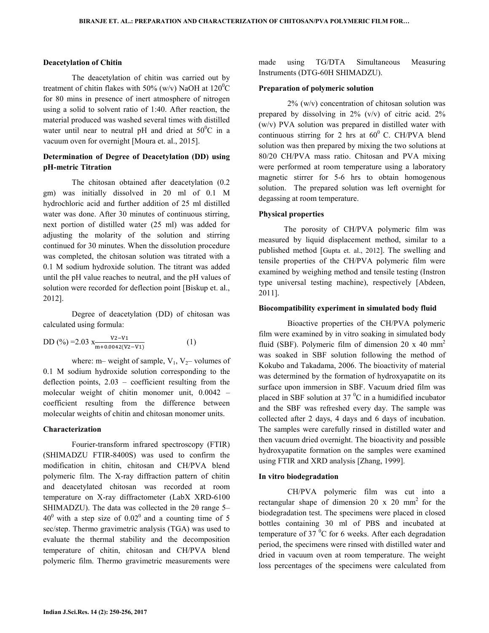### **Deacetylation of Chitin**

 The deacetylation of chitin was carried out by treatment of chitin flakes with 50% (w/v) NaOH at  $120^0C$ for 80 mins in presence of inert atmosphere of nitrogen using a solid to solvent ratio of 1:40. After reaction, the material produced was washed several times with distilled water until near to neutral pH and dried at  $50^{\circ}$ C in a vacuum oven for overnight [Moura et. al., 2015].

## **Determination of Degree of Deacetylation (DD) using pH-metric Titration**

 The chitosan obtained after deacetylation (0.2 gm) was initially dissolved in 20 ml of 0.1 M hydrochloric acid and further addition of 25 ml distilled water was done. After 30 minutes of continuous stirring, next portion of distilled water (25 ml) was added for adjusting the molarity of the solution and stirring continued for 30 minutes. When the dissolution procedure was completed, the chitosan solution was titrated with a 0.1 M sodium hydroxide solution. The titrant was added until the pH value reaches to neutral, and the pH values of solution were recorded for deflection point [Biskup et. al., 2012].

 Degree of deacetylation (DD) of chitosan was calculated using formula:

DD (%) =2.03 x
$$
\frac{V^2 - V^1}{m + 0.0042(V^2 - V^1)}
$$
 (1)

where: m– weight of sample,  $V_1$ ,  $V_2$ – volumes of 0.1 M sodium hydroxide solution corresponding to the deflection points, 2.03 – coefficient resulting from the molecular weight of chitin monomer unit, 0.0042 – coefficient resulting from the difference between molecular weights of chitin and chitosan monomer units.

#### **Characterization**

 Fourier-transform infrared spectroscopy (FTIR) (SHIMADZU FTIR-8400S) was used to confirm the modification in chitin, chitosan and CH/PVA blend polymeric film. The X-ray diffraction pattern of chitin and deacetylated chitosan was recorded at room temperature on X-ray diffractometer (LabX XRD-6100 SHIMADZU). The data was collected in the 2θ range 5–  $40^{\circ}$  with a step size of  $0.02^{\circ}$  and a counting time of 5 sec/step. Thermo gravimetric analysis (TGA) was used to evaluate the thermal stability and the decomposition temperature of chitin, chitosan and CH/PVA blend polymeric film. Thermo gravimetric measurements were made using TG/DTA Simultaneous Measuring Instruments (DTG-60H SHIMADZU).

#### **Preparation of polymeric solution**

 2% (w/v) concentration of chitosan solution was prepared by dissolving in  $2\%$  (v/v) of citric acid.  $2\%$ (w/v) PVA solution was prepared in distilled water with continuous stirring for 2 hrs at  $60^{\circ}$  C. CH/PVA blend solution was then prepared by mixing the two solutions at 80/20 CH/PVA mass ratio. Chitosan and PVA mixing were performed at room temperature using a laboratory magnetic stirrer for 5-6 hrs to obtain homogenous solution. The prepared solution was left overnight for degassing at room temperature.

### **Physical properties**

 The porosity of CH/PVA polymeric film was measured by liquid displacement method, similar to a published method [Gupta et. al., 2012]. The swelling and tensile properties of the CH/PVA polymeric film were examined by weighing method and tensile testing (Instron type universal testing machine), respectively [Abdeen, 2011].

#### **Biocompatibility experiment in simulated body fluid**

 Bioactive properties of the CH/PVA polymeric film were examined by in vitro soaking in simulated body fluid (SBF). Polymeric film of dimension  $20 \times 40$  mm<sup>2</sup> was soaked in SBF solution following the method of Kokubo and Takadama, 2006. The bioactivity of material was determined by the formation of hydroxyapatite on its surface upon immersion in SBF. Vacuum dried film was placed in SBF solution at 37 $\mathrm{^0C}$  in a humidified incubator and the SBF was refreshed every day. The sample was collected after 2 days, 4 days and 6 days of incubation. The samples were carefully rinsed in distilled water and then vacuum dried overnight. The bioactivity and possible hydroxyapatite formation on the samples were examined using FTIR and XRD analysis [Zhang, 1999].

#### **In vitro biodegradation**

 CH/PVA polymeric film was cut into a rectangular shape of dimension 20  $x$  20 mm<sup>2</sup> for the biodegradation test. The specimens were placed in closed bottles containing 30 ml of PBS and incubated at temperature of 37 $\mathrm{^{0}C}$  for 6 weeks. After each degradation period, the specimens were rinsed with distilled water and dried in vacuum oven at room temperature. The weight loss percentages of the specimens were calculated from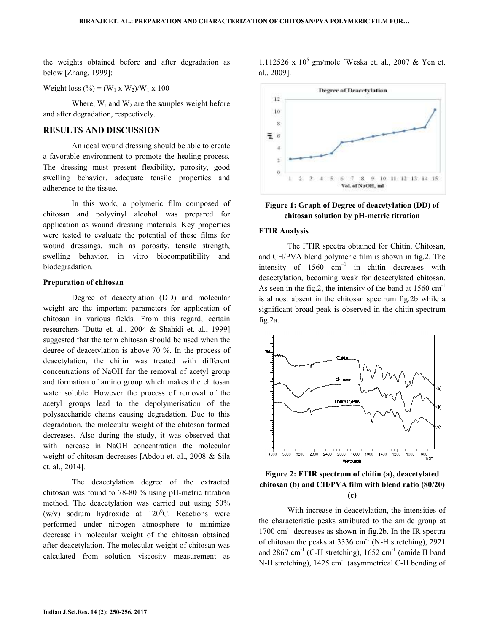the weights obtained before and after degradation as below [Zhang, 1999]:

Weight loss (%) =  $(W_1 \times W_2)/W_1 \times 100$ 

Where,  $W_1$  and  $W_2$  are the samples weight before and after degradation, respectively.

## **RESULTS AND DISCUSSION**

An ideal wound dressing should be able to create a favorable environment to promote the healing process. The dressing must present flexibility, porosity , porosity, good swelling behavior, adequate tensile properties and adherence to the tissue. es weight before<br>be able to create<br>healing process.

 In this work, a polymeric film composed of chitosan and polyvinyl alcohol was prepared for application as wound dressing materials. Key properties were tested to evaluate the potential of these films for wound dressings, such as porosity, tensile strength, swelling behavior, in vitro biocompatibility and biodegradation. strength, the strength, biocompatibility and<br>(DD) and molecular

#### **Preparation of chitosan**

Degree of deacetylation (DD) and molecular weight are the important parameters for application of chitosan in various fields. From this regard, certain researchers [Dutta et. al., 2004 & Shahidi et. al., 1999] suggested that the term chitosan should be used when the degree of deacetylation is above  $70\%$ . In the process of deacetylation, the chitin was treated with different deacetylation, the chitin was treated with different concentrations of NaOH for the removal of acetyl group and formation of amino group which makes the chitosan water soluble. However the process of removal of the acetyl groups lead to the depolymerisation of the acetyl groups lead to the depolymerisation of the polysaccharide chains causing degradation. Due to this degradation, the molecular weight of the chitosan formed decreases. Also during the study, it was observed that with increase in NaOH concentration the molecular weight of chitosan decreases [Abdou et. al., 2008 & Sila et. al., 2014]. obtained before and after degradation as<br>  $(2099)$ <br>  $(299)$ <br>  $(99)$ <br>  $(99)$   $(1)$   $(1)$   $(1)$   $(209)$ <br>  $(1)$   $(209)$ <br>  $(209)$   $(1)$   $(1)$   $(209)$ <br>  $(209)$ <br>  $(209)$   $(209)$ <br>  $(209)$ <br>  $(209)$ <br>  $(209)$ <br>  $(209)$ <br>  $(209)$ <br>  $(2$ 

 The deacetylation degree of the extracted chitosan was found to 78-80 % using pH-metric titration method. The deacetylation was carried out using 50% (w/v) sodium hydroxide at  $120^{\circ}$ C. Reactions were performed under nitrogen atmosphere to minimize performed under nitrogen atmosphere to minimize decrease in molecular weight of the chitosan obtained after deacetylation. The molecular weight of chitosan was calculated from solution viscosity measurement as The deacetylation degree of the extracted<br>a was found to 78-80 % using pH-metric titration<br>a. The deacetylation was carried out using 50%<br>sodium hydroxide at  $120^{\circ}$ C. Reactions were

 $gm/mole$  [Weska et. al., 2007 & Yen et. al., 2009].



**Figure 1: Graph of Degree of deacetylation (DD) of Graph of Degree of chitosan solution by pH--metric titration** 

#### **FTIR Analysis**

 The FTIR spectra obtained for Chitin, Chitosan, The FTIR spectra obtained for Chitin, Chitosan, and CH/PVA blend polymeric film is shown in fig.2. The intensity of  $1560 \text{ cm}^{-1}$  in chitin decreases with intensity of  $1560 \text{ cm}^{-1}$  in chitin decreases with deacetylation, becoming weak for deacetylated chitosan. As seen in the fig.2, the intensity of the band at  $1560 \text{ cm}^{-1}$ is almost absent in the chitosan spectrum fig.2b while a significant broad peak is observed in the chitin spectrum fig.2a.



## **Figure 2: FTIR spectrum of chitin (a), deacetylated chitosan (b) and CH/PVA film with blend ratio (80/20) blend ratio (c)**

With increase in deacetylation, the intensities of With increase in deacetylation, the intensities of the characteristic peaks attributed to the amide group at  $1700 \text{ cm}^{-1}$  decreases as shown in fig.2b. In the IR spectra of chitosan the peaks at 3336 cm<sup>-1</sup> (N-H stretching), 2921 and 2867 cm<sup>-1</sup> (C-H stretching),  $1652$  cm<sup>-1</sup> (amide II band N-H stretching), 1425 cm<sup>-1</sup> (asymmetrical C-H bending of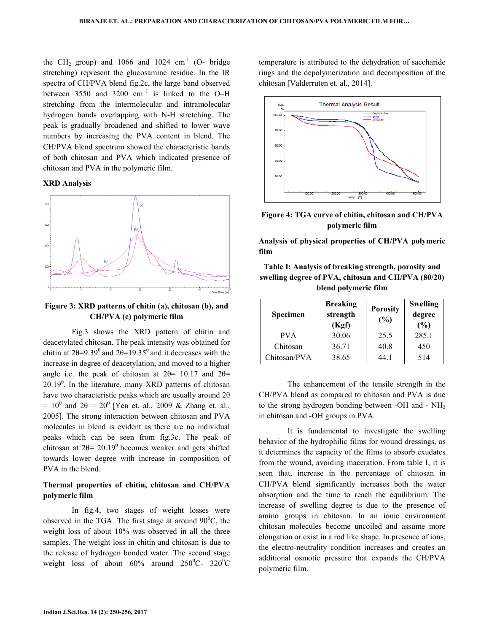the CH<sub>2</sub> group) and 1066 and 1024  $cm^{-1}$  (O- bridge stretching) represent the glucosamine residue. In the IR spectra of CH/PVA blend fig.2c, the large band observed between 3550 and 3200  $cm^{-1}$  is linked to the O–H stretching from the intermolecular and intramolecular hydrogen bonds overlapping with N-H stretching. The peak is gradually broadened and shifted to lower wave numbers by increasing the PVA content in blend. The CH/PVA blend spectrum showed the characteristic bands CH/PVA blend spectrum showed the characteristic bands of both chitosan and PVA which indicated presence of chitosan and PVA in the polymeric film.

### **XRD Analysis**



**Figure 3: XRD patterns of chitin (a), chitosan (b), and <br>CH/PVA (c) polymeric film CH/PVA (c) polymeric film**

Fig.3 shows the XRD pattern of chitin and deacetylated chitosan. The peak intensity was obtained for deacetylated chitosan. The peak intensity was obtained for chitin at  $2\theta = 9.39^{\circ}$  and  $2\theta = 19.35^{\circ}$  and it decreases with the increase in degree of deacetylation, and moved to a higher increase in degree of deacetylation, and moved to a higher angle i.e. the peak of chitosan at  $2\theta$ = 10.17 and  $2\theta$ =  $20.19<sup>0</sup>$ . In the literature, many XRD patterns of chitosan 20.19<sup>0</sup>. In the literature, many XRD patterns of chitosan have two characteristic peaks which are usually around  $2\theta$ =  $10^0$  and  $2\theta = 20^0$  [Yen et. al., 2009 & Zhang et. al., 2005]. The strong interaction between chitosan and PVA molecules in blend is evident as there are peaks which can be seen from fig.3c. The peak of chitosan at  $2\theta = 20.19^{\circ}$  becomes weaker and gets shifted towards lower degree with increase in composition of PVA in the blend.  $^{\circ}$  and  $2\theta = 20^{\circ}$  [Yen et. al., 2009 & Zhang et. al., ]. The strong interaction between chitosan and PVA cules in blend is evident as there are no individual

## **Thermal properties of chitin, chitosan and CH/PVA CH/PVA polymeric film**

In fig.4, two stages of weight losses were observed in the TGA. The first stage at around  $90^{\circ}$ C, the weight loss of about 10% was observed in all the three samples. The weight loss in chitin and chitosan is due to the release of hydrogen bonded water. The second stage weight loss of about  $60\%$  around  $250^0C-320^0C$ 

temperature is attributed to the dehydration of saccharide rings and the depolymerization and decomposition of the chitosan [Valderruten et. al., 2014].



**Figure 4: TGA curve of chitin, chitosan and CH/PVA polymeric film**

**Analysis of physical properties of physical properties of CH/PVA polymeric film** 

**Table I: Analysis of breaking strength, porosity and**  Table I: Analysis of breaking strength, porosity and<br>swelling degree of PVA, chitosan and CH/PVA (80/20) **blend polymeric film blend film**

| Specimen     | <b>Breaking</b><br>strength<br>(Kgf) | <b>Porosity</b><br>(%) | <b>Swelling</b><br>degree<br>(%) |
|--------------|--------------------------------------|------------------------|----------------------------------|
| <b>PVA</b>   | 30.06                                | 25.5                   | 285.1                            |
| Chitosan     | 36.71                                | 40.8                   | 450                              |
| Chitosan/PVA | 38.65                                | 44 1                   | 514                              |

The enhancement of the tensile strength in the The enhancement of the tensile strength in the CH/PVA blend as compared to chitosan and PVA is due to the strong hydrogen bonding between -OH and -  $NH<sub>2</sub>$ in chitosan and -OH groups in PVA.

It is fundamental to investigate the swelling behavior of the hydrophilic films for wound dressings, as it determines the capacity of the films to absorb exudates from the wound, avoiding maceration. From table I, it is seen that, increase in the percentage of chitosan in CH/PVA blend significantly increases both the water absorption and the time to reach the equilibrium. The absorption and the time to reach the equilibrium. increase of swelling degree is due to the presence of amino groups in chitosan. In an ionic environment chitosan molecules become uncoiled and assume more chitosan molecules become uncoiled and assume more elongation or exist in a rod like shape. In presence of ions, the electro-neutrality condition increases and creates an the electro-neutrality condition increases and creates an additional osmotic pressure that expands the CH/PVA polymeric film. In Solution and -OH groups in PVA.<br>
is fundamental to investigate the swelling<br>
the hydrophilic films for wound dressings, as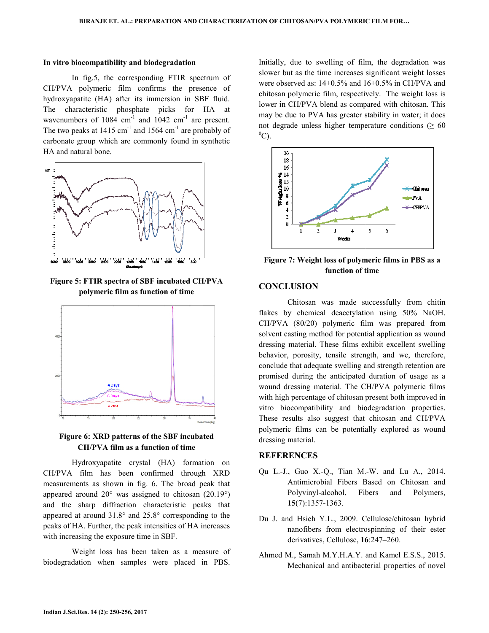### In vitro biocompatibility and biodegradation

 In fig.5, the corresponding FTIR spectrum of In fig.5, the corresponding FTIR spectrum of CH/PVA polymeric film confirms the presence of hydroxyapatite (HA) after its immersion in SBF fluid. The characteristic phosphate picks for HA at wavenumbers of 1084 cm<sup>-1</sup> and 1042 cm<sup>-1</sup> are present. The two peaks at  $1415 \text{ cm}^{-1}$  and  $1564 \text{ cm}^{-1}$  are probably of carbonate group which are commonly found in synthetic HA and natural bone.



**Figure 5: FTIR spectra of SBF incubated CH/PVA polymeric film as function of time**



## **Figure 6: XRD patterns of the SBF incubated CH/PVA film as a function of time**

Hydroxyapatite crystal (HA) formation on CH/PVA film has been confirmed through XRD measurements as shown in fig. 6. The broad peak that measurements as shown in fig. 6. The broad peak that appeared around  $20^{\circ}$  was assigned to chitosan  $(20.19^{\circ})$ and the sharp diffraction characteristic peaks that appeared at around  $31.8^\circ$  and  $25.8^\circ$  corresponding to the peaks of HA. Further, the peak intensities of HA increases with increasing the exposure time in SBF.

Weight loss has been taken as a measure of Weight loss has been taken as a measure of biodegradation when samples were placed in PBS.

Initially, due to swelling of film, the degradation was slower but as the time increases significant weight losses were observed as: 14±0.5% and 16±0.5% in CH/PVA and were observed as:  $14\pm0.5\%$  and  $16\pm0.5\%$  in CH/PVA and chitosan polymeric film, respectively. The weight loss is lower in CH/PVA blend as compared with chitosan. This may be due to PVA has greater stability in water; it does may be due to PVA has greater stability in water; it does not degrade unless higher temperature conditions ( $\geq 60$ )  $^0C$ ).



Figure 7: Weight loss of polymeric films in PBS as a **function of time**

## **CONCLUSION**

 Chitosan was made successfully from chitin flakes by chemical deacetylation using 50% NaOH. flakes by chemical deacetylation using 50% NaOH.<br>CH/PVA (80/20) polymeric film was prepared from solvent casting method for potential application as wound dressing material. These films exhibit excellent swelling behavior, porosity, tensile strength, and we, therefore, conclude that adequate swelling and strength retention are promised during the anticipated duration of usage as a promised during the anticipated duration of usage as a wound dressing material. The CH/PVA polymeric films with high percentage of chitosan present both improved in with high percentage of chitosan present both improved in vitro biocompatibility and biodegradation properties. These results also suggest that chitosan and CH/PVA polymeric films can be potentially explored as wound dressing material. polymeric films can be potentially explored as wound<br>dressing material.<br>**REFERENCES**<br>Qu L.-J., Guo X.-Q., Tian M.-W. and Lu A., 2014.

#### **REFERENCES**

- Antimicrobial Fibers Based on Chitosan and<br>Polyvinyl-alcohol, Fibers and Polymers, Polyvinyl-alcohol, Fibers and Polymers, **15**(7):1357-1363.
- Du J. and Hsieh Y.L., 2009. Cellulose/chitosan hybrid nanofibers from electrospinning of their ester derivatives, Cellulose, 16:247-260. ellulose/chitosan hybrid<br>spinning of their ester<br>:247–260.
- Ahmed M., Samah M.Y.H.A.Y. and Kamel E.S.S., 2015. Mechanical and antibacterial properties of novel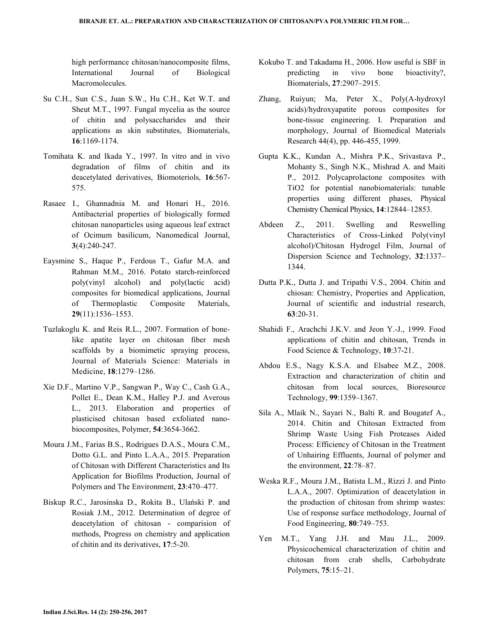high performance chitosan/nanocomposite films, International Journal of Biological Macromolecules.

- Su C.H., Sun C.S., Juan S.W., Hu C.H., Ket W.T. and Sheut M.T., 1997. Fungal mycelia as the source of chitin and polysaccharides and their applications as skin substitutes, Biomaterials, **16**:1169-1174.
- Tomihata K. and Ikada Y., 1997. In vitro and in vivo degradation of films of chitin and its deacetylated derivatives, Biomoteriols, **16**:567- 575.
- Rasaee I., Ghannadnia M. and Honari H., 2016. Antibacterial properties of biologically formed chitosan nanoparticles using aqueous leaf extract of Ocimum basilicum, Nanomedical Journal, **3**(4):240-247.
- Eaysmine S., Haque P., Ferdous T., Gafur M.A. and Rahman M.M., 2016. Potato starch-reinforced poly(vinyl alcohol) and poly(lactic acid) composites for biomedical applications, Journal of Thermoplastic Composite Materials, **29**(11):1536–1553.
- Tuzlakoglu K. and Reis R.L., 2007. Formation of bonelike apatite layer on chitosan fiber mesh scaffolds by a biomimetic spraying process, Journal of Materials Science: Materials in Medicine, **18**:1279–1286.
- Xie D.F., Martino V.P., Sangwan P., Way C., Cash G.A., Pollet E., Dean K.M., Halley P.J. and Averous L., 2013. Elaboration and properties of plasticised chitosan based exfoliated nanobiocomposites, Polymer, **54**:3654-3662.
- Moura J.M., Farias B.S., Rodrigues D.A.S., Moura C.M., Dotto G.L. and Pinto L.A.A., 2015. Preparation of Chitosan with Different Characteristics and Its Application for Biofilms Production, Journal of Polymers and The Environment, **23**:470–477.
- Biskup R.C., Jarosinska D., Rokita B., Ulański P. and Rosiak J.M., 2012. Determination of degree of deacetylation of chitosan - comparision of methods, Progress on chemistry and application of chitin and its derivatives, **17**:5-20.
- Kokubo T. and Takadama H., 2006. How useful is SBF in predicting in vivo bone bioactivity?, Biomaterials, **27**:2907–2915.
- Zhang, Ruiyun; Ma, Peter X., Poly(Α-hydroxyl acids)/hydroxyapatite porous composites for bone-tissue engineering. I. Preparation and morphology, Journal of Biomedical Materials Research 44(4), pp. 446-455, 1999.
- Gupta K.K., Kundan A., Mishra P.K., Srivastava P., Mohanty S., Singh N.K., Mishrad A. and Maiti P., 2012. Polycaprolactone composites with TiO2 for potential nanobiomaterials: tunable properties using different phases, Physical Chemistry Chemical Physics, **14**:12844–12853.
- Abdeen Z., 2011. Swelling and Reswelling Characteristics of Cross-Linked Poly(vinyl alcohol)/Chitosan Hydrogel Film, Journal of Dispersion Science and Technology, **32**:1337– 1344.
- Dutta P.K., Dutta J. and Tripathi V.S., 2004. Chitin and chiosan: Chemistry, Properties and Application, Journal of scientific and industrial research, **63**:20-31.
- Shahidi F., Arachchi J.K.V. and Jeon Y.-J., 1999. Food applications of chitin and chitosan, Trends in Food Science & Technology, **10**:37-21.
- Abdou E.S., Nagy K.S.A. and Elsabee M.Z., 2008. Extraction and characterization of chitin and chitosan from local sources, Bioresource Technology, **99**:1359–1367.
- Sila A., Mlaik N., Sayari N., Balti R. and Bougatef A., 2014. Chitin and Chitosan Extracted from Shrimp Waste Using Fish Proteases Aided Process: Efficiency of Chitosan in the Treatment of Unhairing Effluents, Journal of polymer and the environment, **22**:78–87.
- Weska R.F., Moura J.M., Batista L.M., Rizzi J. and Pinto L.A.A., 2007. Optimization of deacetylation in the production of chitosan from shrimp wastes: Use of response surface methodology, Journal of Food Engineering, **80**:749–753.
- Yen M.T., Yang J.H. and Mau J.L., 2009. Physicochemical characterization of chitin and chitosan from crab shells, Carbohydrate Polymers, **75**:15–21.